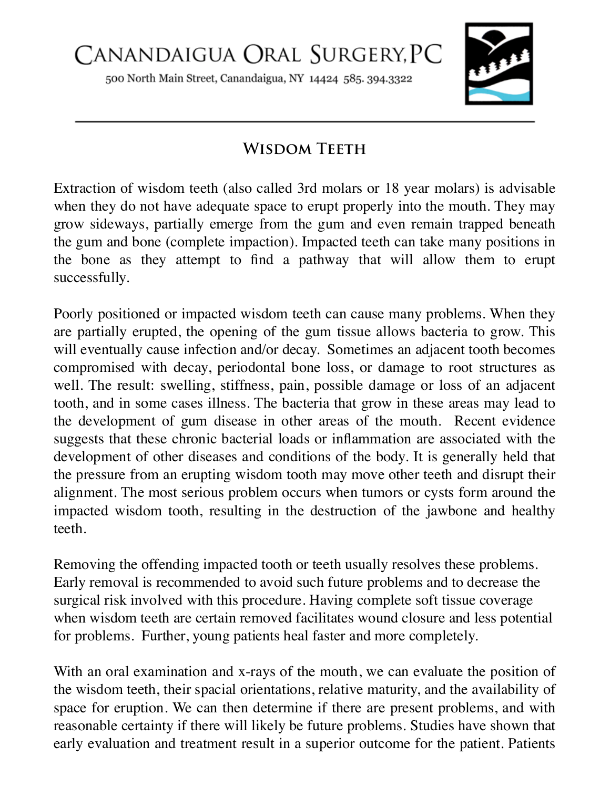500 North Main Street, Canandaigua, NY 14424 585. 394.3322



## **Wisdom Teeth**

Extraction of wisdom teeth (also called 3rd molars or 18 year molars) is advisable when they do not have adequate space to erupt properly into the mouth. They may grow sideways, partially emerge from the gum and even remain trapped beneath the gum and bone (complete impaction). Impacted teeth can take many positions in the bone as they attempt to find a pathway that will allow them to erupt successfully.

Poorly positioned or impacted wisdom teeth can cause many problems. When they are partially erupted, the opening of the gum tissue allows bacteria to grow. This will eventually cause infection and/or decay. Sometimes an adjacent tooth becomes compromised with decay, periodontal bone loss, or damage to root structures as well. The result: swelling, stiffness, pain, possible damage or loss of an adjacent tooth, and in some cases illness. The bacteria that grow in these areas may lead to the development of gum disease in other areas of the mouth. Recent evidence suggests that these chronic bacterial loads or inflammation are associated with the development of other diseases and conditions of the body. It is generally held that the pressure from an erupting wisdom tooth may move other teeth and disrupt their alignment. The most serious problem occurs when tumors or cysts form around the impacted wisdom tooth, resulting in the destruction of the jawbone and healthy teeth.

Removing the offending impacted tooth or teeth usually resolves these problems. Early removal is recommended to avoid such future problems and to decrease the surgical risk involved with this procedure. Having complete soft tissue coverage when wisdom teeth are certain removed facilitates wound closure and less potential for problems. Further, young patients heal faster and more completely.

With an oral examination and x-rays of the mouth, we can evaluate the position of the wisdom teeth, their spacial orientations, relative maturity, and the availability of space for eruption. We can then determine if there are present problems, and with reasonable certainty if there will likely be future problems. Studies have shown that early evaluation and treatment result in a superior outcome for the patient. Patients